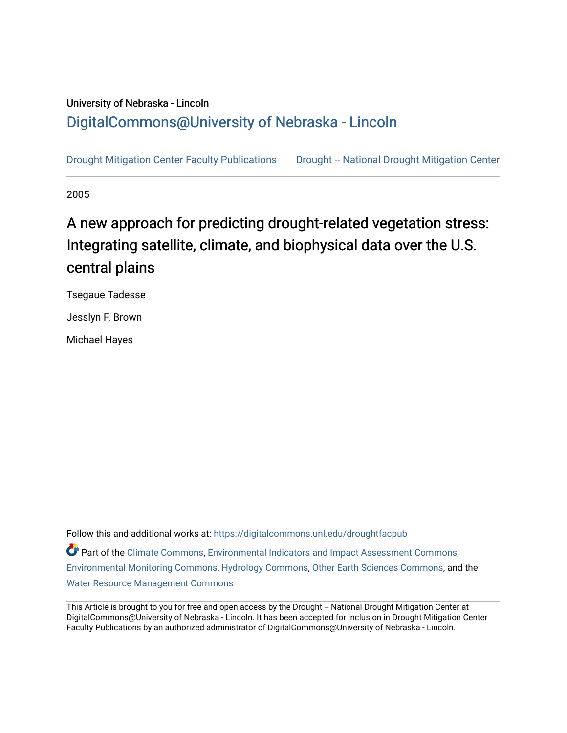## University of Nebraska - Lincoln [DigitalCommons@University of Nebraska - Lincoln](https://digitalcommons.unl.edu/)

[Drought Mitigation Center Faculty Publications](https://digitalcommons.unl.edu/droughtfacpub) Drought -- National Drought Mitigation Center

2005

# A new approach for predicting drought-related vegetation stress: Integrating satellite, climate, and biophysical data over the U.S. central plains

Tsegaue Tadesse

Jesslyn F. Brown

Michael Hayes

Follow this and additional works at: [https://digitalcommons.unl.edu/droughtfacpub](https://digitalcommons.unl.edu/droughtfacpub?utm_source=digitalcommons.unl.edu%2Fdroughtfacpub%2F210&utm_medium=PDF&utm_campaign=PDFCoverPages) Part of the [Climate Commons,](https://network.bepress.com/hgg/discipline/188?utm_source=digitalcommons.unl.edu%2Fdroughtfacpub%2F210&utm_medium=PDF&utm_campaign=PDFCoverPages) [Environmental Indicators and Impact Assessment Commons,](https://network.bepress.com/hgg/discipline/1015?utm_source=digitalcommons.unl.edu%2Fdroughtfacpub%2F210&utm_medium=PDF&utm_campaign=PDFCoverPages) [Environmental Monitoring Commons,](https://network.bepress.com/hgg/discipline/931?utm_source=digitalcommons.unl.edu%2Fdroughtfacpub%2F210&utm_medium=PDF&utm_campaign=PDFCoverPages) [Hydrology Commons,](https://network.bepress.com/hgg/discipline/1054?utm_source=digitalcommons.unl.edu%2Fdroughtfacpub%2F210&utm_medium=PDF&utm_campaign=PDFCoverPages) [Other Earth Sciences Commons,](https://network.bepress.com/hgg/discipline/166?utm_source=digitalcommons.unl.edu%2Fdroughtfacpub%2F210&utm_medium=PDF&utm_campaign=PDFCoverPages) and the [Water Resource Management Commons](https://network.bepress.com/hgg/discipline/1057?utm_source=digitalcommons.unl.edu%2Fdroughtfacpub%2F210&utm_medium=PDF&utm_campaign=PDFCoverPages)

This Article is brought to you for free and open access by the Drought -- National Drought Mitigation Center at DigitalCommons@University of Nebraska - Lincoln. It has been accepted for inclusion in Drought Mitigation Center Faculty Publications by an authorized administrator of DigitalCommons@University of Nebraska - Lincoln.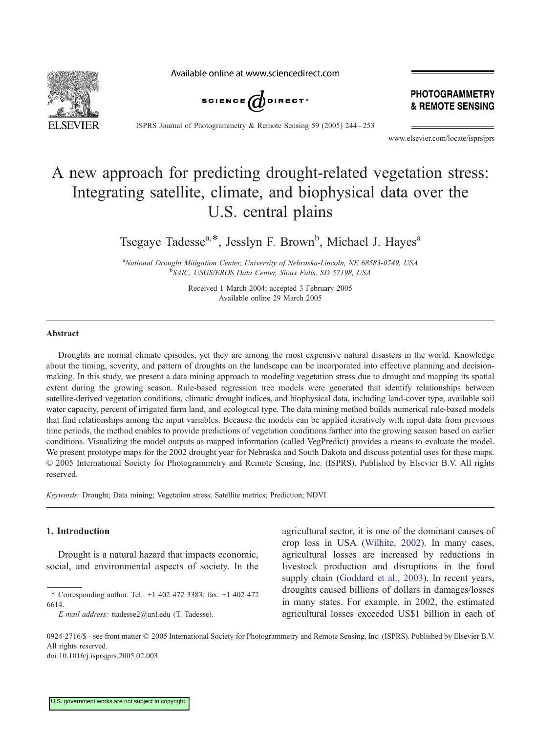Available online at www.sciencedirect.com



PHOTOGRAMMETRY & REMOTE SENSING

ISPRS Journal of Photogrammetry & Remote Sensing 59 (2005) 244 – 253

www.elsevier.com/locate/isprsjprs

## A new approach for predicting drought-related vegetation stress: Integrating satellite, climate, and biophysical data over the U.S. central plains

Tsegaye Tadesse<sup>a,\*</sup>, Jesslyn F. Brown<sup>b</sup>, Michael J. Hayes<sup>a</sup>

<sup>a</sup>National Drought Mitigation Center, University of Nebraska-Lincoln, NE 68583-0749, USA b SAIC, USGS/EROS Data Center, Sioux Falls, SD 57198, USA

> Received 1 March 2004; accepted 3 February 2005 Available online 29 March 2005

#### Abstract

Droughts are normal climate episodes, yet they are among the most expensive natural disasters in the world. Knowledge about the timing, severity, and pattern of droughts on the landscape can be incorporated into effective planning and decisionmaking. In this study, we present a data mining approach to modeling vegetation stress due to drought and mapping its spatial extent during the growing season. Rule-based regression tree models were generated that identify relationships between satellite-derived vegetation conditions, climatic drought indices, and biophysical data, including land-cover type, available soil water capacity, percent of irrigated farm land, and ecological type. The data mining method builds numerical rule-based models that find relationships among the input variables. Because the models can be applied iteratively with input data from previous time periods, the method enables to provide predictions of vegetation conditions farther into the growing season based on earlier conditions. Visualizing the model outputs as mapped information (called VegPredict) provides a means to evaluate the model. We present prototype maps for the 2002 drought year for Nebraska and South Dakota and discuss potential uses for these maps.  $© 2005 International Society for Photogrammetry and Remote Sensing, Inc. (ISPRS). Published by Elsevier B.V. All rights$ reserved.

Keywords: Drought; Data mining; Vegetation stress; Satellite metrics; Prediction; NDVI

#### 1. Introduction

Drought is a natural hazard that impacts economic, social, and environmental aspects of society. In the

E-mail address: ttadesse2@unl.edu (T. Tadesse).

agricultural sector, it is one of the dominant causes of crop loss in USA ([Wilhite, 2002\)](#page-10-0). In many cases, agricultural losses are increased by reductions in livestock production and disruptions in the food supply chain ([Goddard et al., 2003\)](#page-9-0). In recent years, droughts caused billions of dollars in damages/losses in many states. For example, in 2002, the estimated agricultural losses exceeded US\$1 billion in each of

0924-2716/\$ - see front matter © 2005 International Society for Photogrammetry and Remote Sensing, Inc. (ISPRS). Published by Elsevier B.V. All rights reserved. doi:10.1016/j.isprsjprs.2005.02.003

<sup>\*</sup> Corresponding author. Tel.: +1 402 472 3383; fax: +1 402 472 6614.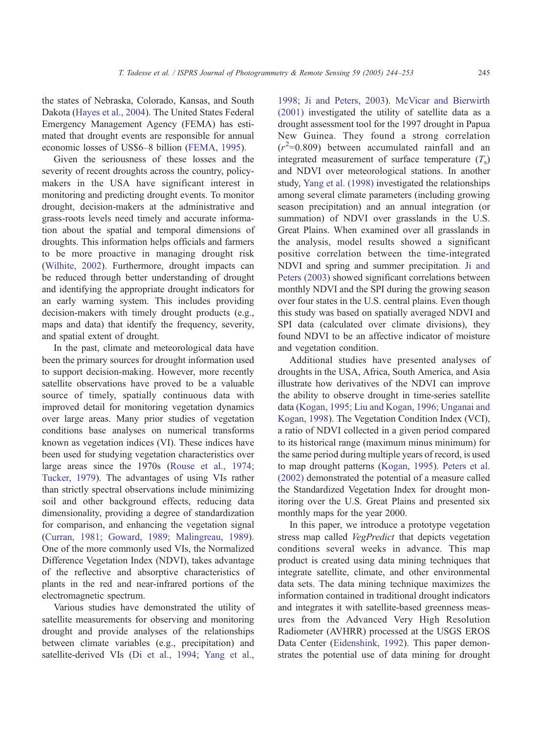the states of Nebraska, Colorado, Kansas, and South Dakota ([Hayes et al., 2004\)](#page-9-0). The United States Federal Emergency Management Agency (FEMA) has estimated that drought events are responsible for annual economic losses of US\$6–8 billion ([FEMA, 1995\)](#page-9-0).

Given the seriousness of these losses and the severity of recent droughts across the country, policymakers in the USA have significant interest in monitoring and predicting drought events. To monitor drought, decision-makers at the administrative and grass-roots levels need timely and accurate information about the spatial and temporal dimensions of droughts. This information helps officials and farmers to be more proactive in managing drought risk ([Wilhite, 2002\)](#page-10-0). Furthermore, drought impacts can be reduced through better understanding of drought and identifying the appropriate drought indicators for an early warning system. This includes providing decision-makers with timely drought products (e.g., maps and data) that identify the frequency, severity, and spatial extent of drought.

In the past, climate and meteorological data have been the primary sources for drought information used to support decision-making. However, more recently satellite observations have proved to be a valuable source of timely, spatially continuous data with improved detail for monitoring vegetation dynamics over large areas. Many prior studies of vegetation conditions base analyses on numerical transforms known as vegetation indices (VI). These indices have been used for studying vegetation characteristics over large areas since the 1970s ([Rouse et al., 1974;](#page-10-0) Tucker, 1979). The advantages of using VIs rather than strictly spectral observations include minimizing soil and other background effects, reducing data dimensionality, providing a degree of standardization for comparison, and enhancing the vegetation signal ([Curran, 1981; Goward, 1989; Malingreau, 1989\)](#page-9-0). One of the more commonly used VIs, the Normalized Difference Vegetation Index (NDVI), takes advantage of the reflective and absorptive characteristics of plants in the red and near-infrared portions of the electromagnetic spectrum.

Various studies have demonstrated the utility of satellite measurements for observing and monitoring drought and provide analyses of the relationships between climate variables (e.g., precipitation) and satellite-derived VIs ([Di et al., 1994; Yang et al.,](#page-9-0)

1998; Ji and Peters, 2003). [McVicar and Bierwirth](#page-10-0) (2001) investigated the utility of satellite data as a drought assessment tool for the 1997 drought in Papua New Guinea. They found a strong correlation  $(r^2=0.809)$  between accumulated rainfall and an integrated measurement of surface temperature  $(T<sub>s</sub>)$ and NDVI over meteorological stations. In another study, [Yang et al. \(1998\)](#page-10-0) investigated the relationships among several climate parameters (including growing season precipitation) and an annual integration (or summation) of NDVI over grasslands in the U.S. Great Plains. When examined over all grasslands in the analysis, model results showed a significant positive correlation between the time-integrated NDVI and spring and summer precipitation. [Ji and](#page-9-0) Peters (2003) showed significant correlations between monthly NDVI and the SPI during the growing season over four states in the U.S. central plains. Even though this study was based on spatially averaged NDVI and SPI data (calculated over climate divisions), they found NDVI to be an affective indicator of moisture and vegetation condition.

Additional studies have presented analyses of droughts in the USA, Africa, South America, and Asia illustrate how derivatives of the NDVI can improve the ability to observe drought in time-series satellite data ([Kogan, 1995; Liu and Kogan, 1996; Unganai and](#page-9-0) Kogan, 1998). The Vegetation Condition Index (VCI), a ratio of NDVI collected in a given period compared to its historical range (maximum minus minimum) for the same period during multiple years of record, is used to map drought patterns ([Kogan, 1995\)](#page-9-0). [Peters et al.](#page-10-0) (2002) demonstrated the potential of a measure called the Standardized Vegetation Index for drought monitoring over the U.S. Great Plains and presented six monthly maps for the year 2000.

In this paper, we introduce a prototype vegetation stress map called *VegPredict* that depicts vegetation conditions several weeks in advance. This map product is created using data mining techniques that integrate satellite, climate, and other environmental data sets. The data mining technique maximizes the information contained in traditional drought indicators and integrates it with satellite-based greenness measures from the Advanced Very High Resolution Radiometer (AVHRR) processed at the USGS EROS Data Center ([Eidenshink, 1992\)](#page-9-0). This paper demonstrates the potential use of data mining for drought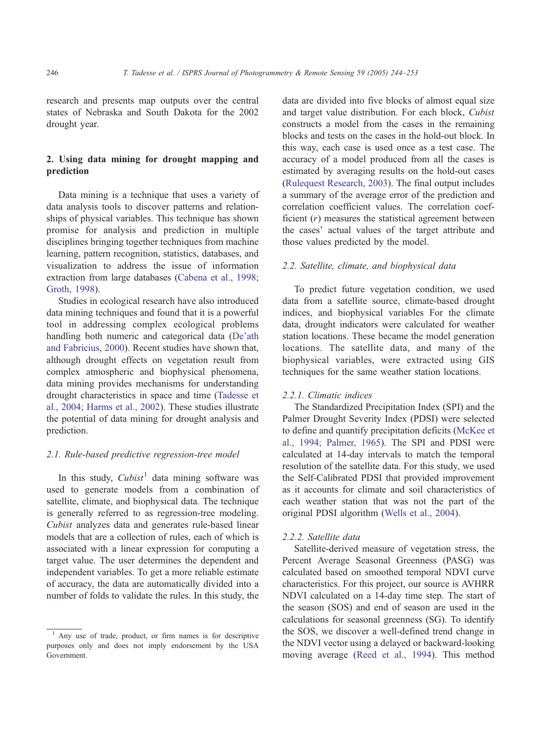research and presents map outputs over the central states of Nebraska and South Dakota for the 2002 drought year.

## 2. Using data mining for drought mapping and prediction

Data mining is a technique that uses a variety of data analysis tools to discover patterns and relationships of physical variables. This technique has shown promise for analysis and prediction in multiple disciplines bringing together techniques from machine learning, pattern recognition, statistics, databases, and visualization to address the issue of information extraction from large databases ([Cabena et al., 1998;](#page-9-0) Groth, 1998).

Studies in ecological research have also introduced data mining techniques and found that it is a powerful tool in addressing complex ecological problems handling both numeric and categorical data ([De'ath](#page-9-0) and Fabricius, 2000). Recent studies have shown that, although drought effects on vegetation result from complex atmospheric and biophysical phenomena, data mining provides mechanisms for understanding drought characteristics in space and time ([Tadesse et](#page-10-0) al., 2004; Harms et al., 2002). These studies illustrate the potential of data mining for drought analysis and prediction.

#### 2.1. Rule-based predictive regression-tree model

In this study,  $Cubic<sup>1</sup>$  data mining software was used to generate models from a combination of satellite, climate, and biophysical data. The technique is generally referred to as regression-tree modeling. Cubist analyzes data and generates rule-based linear models that are a collection of rules, each of which is associated with a linear expression for computing a target value. The user determines the dependent and independent variables. To get a more reliable estimate of accuracy, the data are automatically divided into a number of folds to validate the rules. In this study, the

data are divided into five blocks of almost equal size and target value distribution. For each block, Cubist constructs a model from the cases in the remaining blocks and tests on the cases in the hold-out block. In this way, each case is used once as a test case. The accuracy of a model produced from all the cases is estimated by averaging results on the hold-out cases ([Rulequest Research, 2003\)](#page-10-0). The final output includes a summary of the average error of the prediction and correlation coefficient values. The correlation coefficient  $(r)$  measures the statistical agreement between the cases' actual values of the target attribute and those values predicted by the model.

#### 2.2. Satellite, climate, and biophysical data

To predict future vegetation condition, we used data from a satellite source, climate-based drought indices, and biophysical variables For the climate data, drought indicators were calculated for weather station locations. These became the model generation locations. The satellite data, and many of the biophysical variables, were extracted using GIS techniques for the same weather station locations.

#### 2.2.1. Climatic indices

The Standardized Precipitation Index (SPI) and the Palmer Drought Severity Index (PDSI) were selected to define and quantify precipitation deficits ([McKee et](#page-10-0) al., 1994; Palmer, 1965). The SPI and PDSI were calculated at 14-day intervals to match the temporal resolution of the satellite data. For this study, we used the Self-Calibrated PDSI that provided improvement as it accounts for climate and soil characteristics of each weather station that was not the part of the original PDSI algorithm ([Wells et al., 2004\)](#page-10-0).

#### 2.2.2. Satellite data

Satellite-derived measure of vegetation stress, the Percent Average Seasonal Greenness (PASG) was calculated based on smoothed temporal NDVI curve characteristics. For this project, our source is AVHRR NDVI calculated on a 14-day time step. The start of the season (SOS) and end of season are used in the calculations for seasonal greenness (SG). To identify the SOS, we discover a well-defined trend change in the NDVI vector using a delayed or backward-looking moving average ([Reed et al., 1994\)](#page-10-0). This method

<sup>&</sup>lt;sup>1</sup> Any use of trade, product, or firm names is for descriptive purposes only and does not imply endorsement by the USA Government.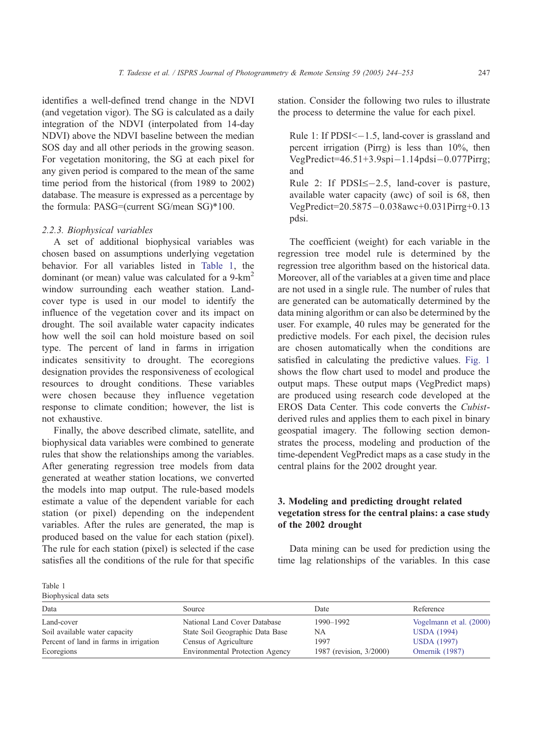identifies a well-defined trend change in the NDVI (and vegetation vigor). The SG is calculated as a daily integration of the NDVI (interpolated from 14-day NDVI) above the NDVI baseline between the median SOS day and all other periods in the growing season. For vegetation monitoring, the SG at each pixel for any given period is compared to the mean of the same time period from the historical (from 1989 to 2002) database. The measure is expressed as a percentage by the formula: PASG=(current SG/mean SG)\*100.

### 2.2.3. Biophysical variables

A set of additional biophysical variables was chosen based on assumptions underlying vegetation behavior. For all variables listed in Table 1, the dominant (or mean) value was calculated for a  $9-km^2$ window surrounding each weather station. Landcover type is used in our model to identify the influence of the vegetation cover and its impact on drought. The soil available water capacity indicates how well the soil can hold moisture based on soil type. The percent of land in farms in irrigation indicates sensitivity to drought. The ecoregions designation provides the responsiveness of ecological resources to drought conditions. These variables were chosen because they influence vegetation response to climate condition; however, the list is not exhaustive.

Finally, the above described climate, satellite, and biophysical data variables were combined to generate rules that show the relationships among the variables. After generating regression tree models from data generated at weather station locations, we converted the models into map output. The rule-based models estimate a value of the dependent variable for each station (or pixel) depending on the independent variables. After the rules are generated, the map is produced based on the value for each station (pixel). The rule for each station (pixel) is selected if the case satisfies all the conditions of the rule for that specific station. Consider the following two rules to illustrate the process to determine the value for each pixel.

Rule 1: If  $PDSI \le -1.5$ , land-cover is grassland and percent irrigation (Pirrg) is less than 10%, then  $VegPredict=46.51+3.9\text{spin}-1.14\text{pds}i-0.077\text{Pirrg};$ and Rule 2: If  $PDSI \leq -2.5$ , land-cover is pasture,

available water capacity (awc) of soil is 68, then VegPredict=20.5875-0.038awc+0.031Pirrg+0.13 pdsi.

The coefficient (weight) for each variable in the regression tree model rule is determined by the regression tree algorithm based on the historical data. Moreover, all of the variables at a given time and place are not used in a single rule. The number of rules that are generated can be automatically determined by the data mining algorithm or can also be determined by the user. For example, 40 rules may be generated for the predictive models. For each pixel, the decision rules are chosen automatically when the conditions are satisfied in calculating the predictive values. [Fig. 1](#page-5-0) shows the flow chart used to model and produce the output maps. These output maps (VegPredict maps) are produced using research code developed at the EROS Data Center. This code converts the Cubistderived rules and applies them to each pixel in binary geospatial imagery. The following section demonstrates the process, modeling and production of the time-dependent VegPredict maps as a case study in the central plains for the 2002 drought year.

## 3. Modeling and predicting drought related vegetation stress for the central plains: a case study of the 2002 drought

Data mining can be used for prediction using the time lag relationships of the variables. In this case

Table 1

| Biophysical data sets                  |                                        |                         |                         |  |  |
|----------------------------------------|----------------------------------------|-------------------------|-------------------------|--|--|
| Data                                   | Source                                 | Date                    | Reference               |  |  |
| Land-cover                             | National Land Cover Database           | 1990-1992               | Vogelmann et al. (2000) |  |  |
| Soil available water capacity          | State Soil Geographic Data Base        | NA                      | <b>USDA</b> (1994)      |  |  |
| Percent of land in farms in irrigation | Census of Agriculture                  | 1997                    | <b>USDA</b> (1997)      |  |  |
| Ecoregions                             | <b>Environmental Protection Agency</b> | 1987 (revision, 3/2000) | Omernik (1987)          |  |  |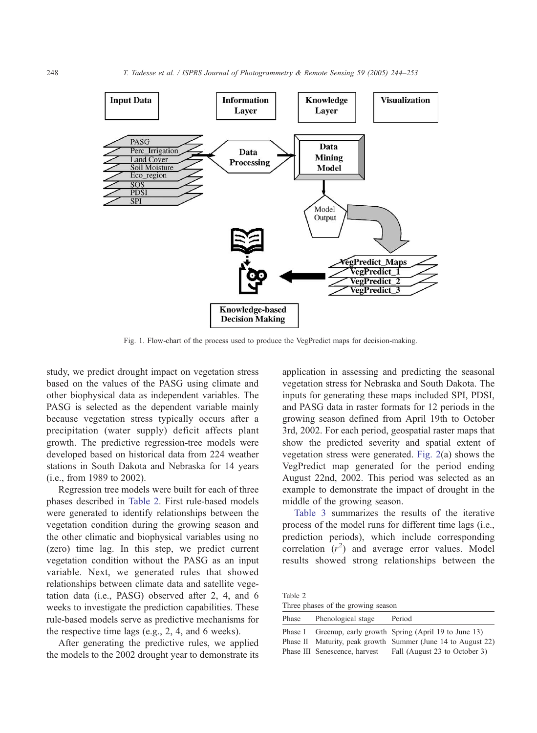<span id="page-5-0"></span>

Fig. 1. Flow-chart of the process used to produce the VegPredict maps for decision-making.

study, we predict drought impact on vegetation stress based on the values of the PASG using climate and other biophysical data as independent variables. The PASG is selected as the dependent variable mainly because vegetation stress typically occurs after a precipitation (water supply) deficit affects plant growth. The predictive regression-tree models were developed based on historical data from 224 weather stations in South Dakota and Nebraska for 14 years (i.e., from 1989 to 2002).

Regression tree models were built for each of three phases described in Table 2. First rule-based models were generated to identify relationships between the vegetation condition during the growing season and the other climatic and biophysical variables using no (zero) time lag. In this step, we predict current vegetation condition without the PASG as an input variable. Next, we generated rules that showed relationships between climate data and satellite vegetation data (i.e., PASG) observed after 2, 4, and 6 weeks to investigate the prediction capabilities. These rule-based models serve as predictive mechanisms for the respective time lags (e.g., 2, 4, and 6 weeks).

After generating the predictive rules, we applied the models to the 2002 drought year to demonstrate its application in assessing and predicting the seasonal vegetation stress for Nebraska and South Dakota. The inputs for generating these maps included SPI, PDSI, and PASG data in raster formats for 12 periods in the growing season defined from April 19th to October 3rd, 2002. For each period, geospatial raster maps that show the predicted severity and spatial extent of vegetation stress were generated. [Fig. 2\(](#page-6-0)a) shows the VegPredict map generated for the period ending August 22nd, 2002. This period was selected as an example to demonstrate the impact of drought in the middle of the growing season.

[Table 3](#page-7-0) summarizes the results of the iterative process of the model runs for different time lags (i.e., prediction periods), which include corresponding correlation  $(r^2)$  and average error values. Model results showed strong relationships between the

Table 2 Three phases of the growing season

| Phase | Phenological stage            | Period                                                                                                                     |
|-------|-------------------------------|----------------------------------------------------------------------------------------------------------------------------|
|       |                               | Phase I Greenup, early growth Spring (April 19 to June 13)<br>Phase II Maturity, peak growth Summer (June 14 to August 22) |
|       | Phase III Senescence, harvest | Fall (August 23 to October 3)                                                                                              |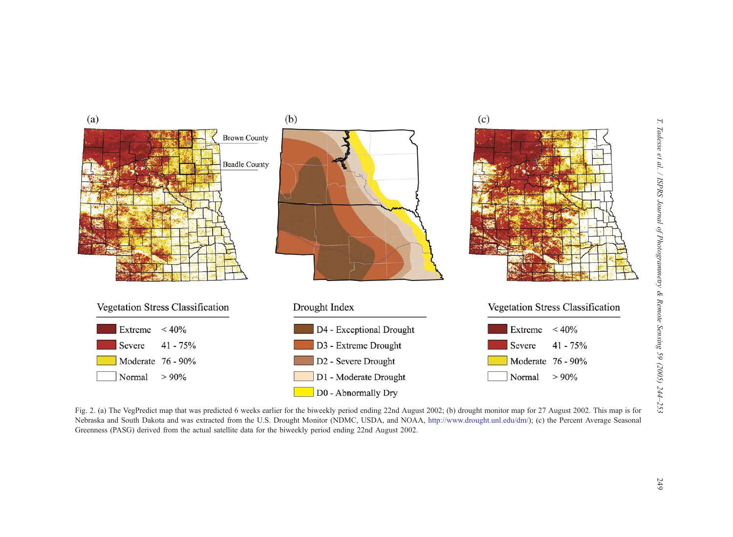<span id="page-6-0"></span>

Fig. 2. (a) The VegPredict map that was predicted 6 weeks earlier for the biweekly period ending 22nd August 2002; (b) drought monitor map for 27 August 2002. This map is for Nebraska and South Dakota and was extracted from the U.S. Drought Monitor (NDMC, USDA, and NOAA, <http://www.drought.unl.edu/dm/>); (c) the Percent Average Seasonal Greenness (PASG) derived from the actual satellite data for the biweekly period ending 22nd August 2002.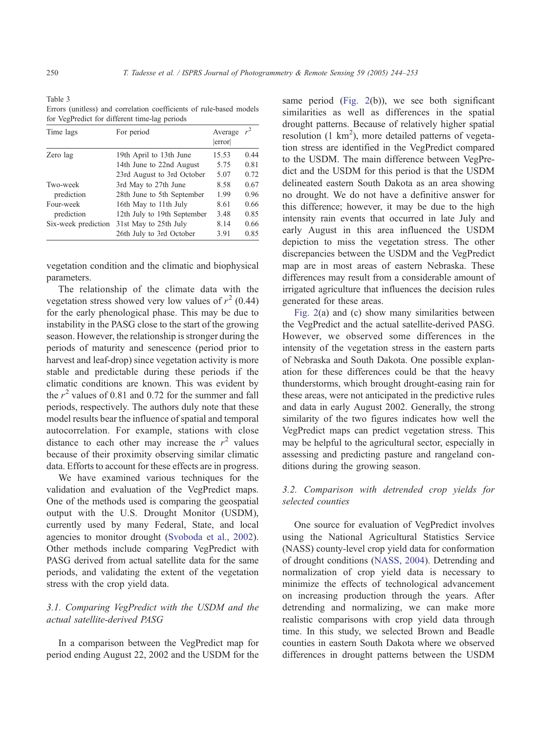<span id="page-7-0"></span>Table 3 Errors (unitless) and correlation coefficients of rule-based models for VegPredict for different time-lag periods

| Time lags               | For period                  | Average<br>error |      |
|-------------------------|-----------------------------|------------------|------|
| Zero lag                | 19th April to 13th June     | 15.53            | 0.44 |
|                         | 14th June to 22nd August    | 5.75             | 0.81 |
|                         | 23rd August to 3rd October  | 5.07             | 0.72 |
| Two-week<br>prediction  | 3rd May to 27th June        | 8.58             | 0.67 |
|                         | 28th June to 5th September  | 1.99             | 0.96 |
| Four-week<br>prediction | 16th May to 11th July       | 8.61             | 0.66 |
|                         | 12th July to 19th September | 3.48             | 0.85 |
| Six-week prediction     | 31st May to 25th July       | 8.14             | 0.66 |
|                         | 26th July to 3rd October    | 3.91             | 0.85 |

vegetation condition and the climatic and biophysical parameters.

The relationship of the climate data with the vegetation stress showed very low values of  $r^2$  (0.44) for the early phenological phase. This may be due to instability in the PASG close to the start of the growing season. However, the relationship is stronger during the periods of maturity and senescence (period prior to harvest and leaf-drop) since vegetation activity is more stable and predictable during these periods if the climatic conditions are known. This was evident by the  $r^2$  values of 0.81 and 0.72 for the summer and fall periods, respectively. The authors duly note that these model results bear the influence of spatial and temporal autocorrelation. For example, stations with close distance to each other may increase the  $r^2$  values because of their proximity observing similar climatic data. Efforts to account for these effects are in progress.

We have examined various techniques for the validation and evaluation of the VegPredict maps. One of the methods used is comparing the geospatial output with the U.S. Drought Monitor (USDM), currently used by many Federal, State, and local agencies to monitor drought ([Svoboda et al., 2002\)](#page-10-0). Other methods include comparing VegPredict with PASG derived from actual satellite data for the same periods, and validating the extent of the vegetation stress with the crop yield data.

## 3.1. Comparing VegPredict with the USDM and the actual satellite-derived PASG

In a comparison between the VegPredict map for period ending August 22, 2002 and the USDM for the same period ([Fig. 2\(](#page-6-0)b)), we see both significant similarities as well as differences in the spatial drought patterns. Because of relatively higher spatial resolution  $(1 \text{ km}^2)$ , more detailed patterns of vegetation stress are identified in the VegPredict compared to the USDM. The main difference between VegPredict and the USDM for this period is that the USDM delineated eastern South Dakota as an area showing no drought. We do not have a definitive answer for this difference; however, it may be due to the high intensity rain events that occurred in late July and early August in this area influenced the USDM depiction to miss the vegetation stress. The other discrepancies between the USDM and the VegPredict map are in most areas of eastern Nebraska. These differences may result from a considerable amount of irrigated agriculture that influences the decision rules generated for these areas.

[Fig. 2\(](#page-6-0)a) and (c) show many similarities between the VegPredict and the actual satellite-derived PASG. However, we observed some differences in the intensity of the vegetation stress in the eastern parts of Nebraska and South Dakota. One possible explanation for these differences could be that the heavy thunderstorms, which brought drought-easing rain for these areas, were not anticipated in the predictive rules and data in early August 2002. Generally, the strong similarity of the two figures indicates how well the VegPredict maps can predict vegetation stress. This may be helpful to the agricultural sector, especially in assessing and predicting pasture and rangeland conditions during the growing season.

## 3.2. Comparison with detrended crop yields for selected counties

One source for evaluation of VegPredict involves using the National Agricultural Statistics Service (NASS) county-level crop yield data for conformation of drought conditions ([NASS, 2004\)](#page-10-0). Detrending and normalization of crop yield data is necessary to minimize the effects of technological advancement on increasing production through the years. After detrending and normalizing, we can make more realistic comparisons with crop yield data through time. In this study, we selected Brown and Beadle counties in eastern South Dakota where we observed differences in drought patterns between the USDM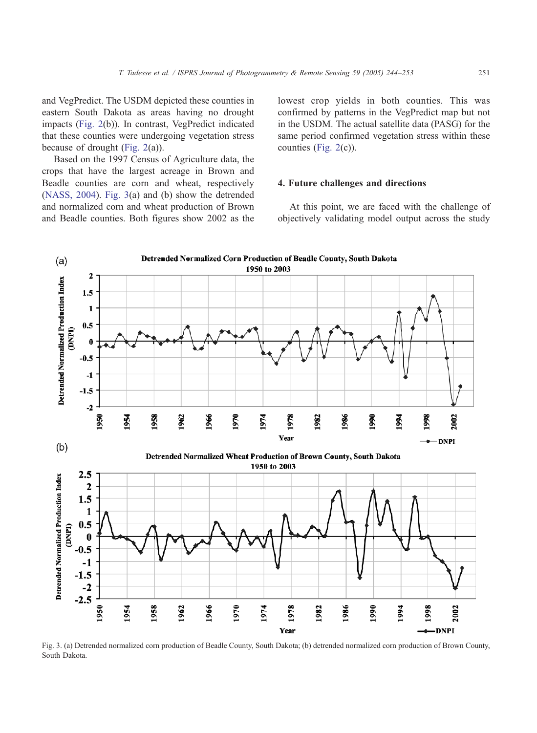and VegPredict. The USDM depicted these counties in eastern South Dakota as areas having no drought impacts [\(Fig. 2\(](#page-6-0)b)). In contrast, VegPredict indicated that these counties were undergoing vegetation stress because of drought ([Fig. 2\(](#page-6-0)a)).

Based on the 1997 Census of Agriculture data, the crops that have the largest acreage in Brown and Beadle counties are corn and wheat, respectively ([NASS, 2004\)](#page-10-0). Fig. 3(a) and (b) show the detrended and normalized corn and wheat production of Brown and Beadle counties. Both figures show 2002 as the lowest crop yields in both counties. This was confirmed by patterns in the VegPredict map but not in the USDM. The actual satellite data (PASG) for the same period confirmed vegetation stress within these counties ([Fig. 2\(](#page-6-0)c)).

#### 4. Future challenges and directions

At this point, we are faced with the challenge of objectively validating model output across the study



Fig. 3. (a) Detrended normalized corn production of Beadle County, South Dakota; (b) detrended normalized corn production of Brown County, South Dakota.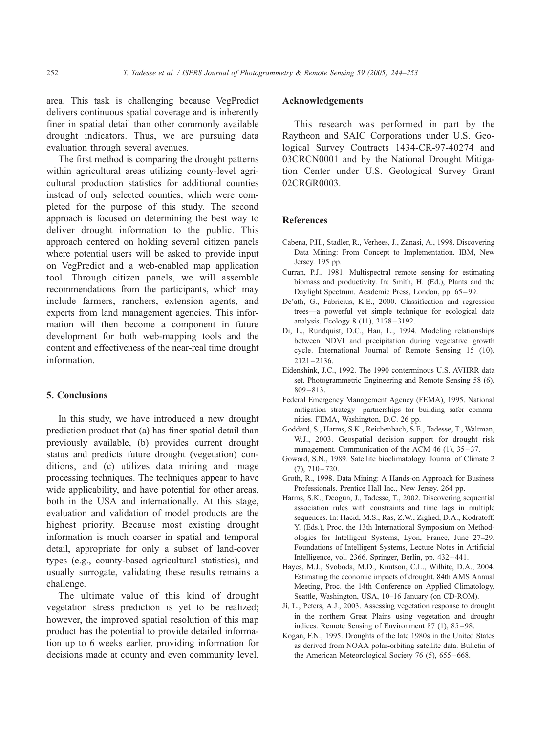<span id="page-9-0"></span>area. This task is challenging because VegPredict delivers continuous spatial coverage and is inherently finer in spatial detail than other commonly available drought indicators. Thus, we are pursuing data evaluation through several avenues.

The first method is comparing the drought patterns within agricultural areas utilizing county-level agricultural production statistics for additional counties instead of only selected counties, which were completed for the purpose of this study. The second approach is focused on determining the best way to deliver drought information to the public. This approach centered on holding several citizen panels where potential users will be asked to provide input on VegPredict and a web-enabled map application tool. Through citizen panels, we will assemble recommendations from the participants, which may include farmers, ranchers, extension agents, and experts from land management agencies. This information will then become a component in future development for both web-mapping tools and the content and effectiveness of the near-real time drought information.

#### 5. Conclusions

In this study, we have introduced a new drought prediction product that (a) has finer spatial detail than previously available, (b) provides current drought status and predicts future drought (vegetation) conditions, and (c) utilizes data mining and image processing techniques. The techniques appear to have wide applicability, and have potential for other areas, both in the USA and internationally. At this stage, evaluation and validation of model products are the highest priority. Because most existing drought information is much coarser in spatial and temporal detail, appropriate for only a subset of land-cover types (e.g., county-based agricultural statistics), and usually surrogate, validating these results remains a challenge.

The ultimate value of this kind of drought vegetation stress prediction is yet to be realized; however, the improved spatial resolution of this map product has the potential to provide detailed information up to 6 weeks earlier, providing information for decisions made at county and even community level.

#### Acknowledgements

This research was performed in part by the Raytheon and SAIC Corporations under U.S. Geological Survey Contracts 1434-CR-97-40274 and 03CRCN0001 and by the National Drought Mitigation Center under U.S. Geological Survey Grant 02CRGR0003.

#### References

- Cabena, P.H., Stadler, R., Verhees, J., Zanasi, A., 1998. Discovering Data Mining: From Concept to Implementation. IBM, New Jersey. 195 pp.
- Curran, P.J., 1981. Multispectral remote sensing for estimating biomass and productivity. In: Smith, H. (Ed.), Plants and the Daylight Spectrum. Academic Press, London, pp. 65 – 99.
- De'ath, G., Fabricius, K.E., 2000. Classification and regression trees—a powerful yet simple technique for ecological data analysis. Ecology 8 (11), 3178 – 3192.
- Di, L., Rundquist, D.C., Han, L., 1994. Modeling relationships between NDVI and precipitation during vegetative growth cycle. International Journal of Remote Sensing 15 (10),  $2121 - 2136$ .
- Eidenshink, J.C., 1992. The 1990 conterminous U.S. AVHRR data set. Photogrammetric Engineering and Remote Sensing 58 (6), 809 – 813.
- Federal Emergency Management Agency (FEMA), 1995. National mitigation strategy—partnerships for building safer communities. FEMA, Washington, D.C. 26 pp.
- Goddard, S., Harms, S.K., Reichenbach, S.E., Tadesse, T., Waltman, W.J., 2003. Geospatial decision support for drought risk management. Communication of the ACM 46 (1), 35–37.
- Goward, S.N., 1989. Satellite bioclimatology. Journal of Climate 2  $(7), 710 - 720.$
- Groth, R., 1998. Data Mining: A Hands-on Approach for Business Professionals. Prentice Hall Inc., New Jersey. 264 pp.
- Harms, S.K., Deogun, J., Tadesse, T., 2002. Discovering sequential association rules with constraints and time lags in multiple sequences. In: Hacid, M.S., Ras, Z.W., Zighed, D.A., Kodratoff, Y. (Eds.), Proc. the 13th International Symposium on Methodologies for Intelligent Systems, Lyon, France, June 27–29. Foundations of Intelligent Systems, Lecture Notes in Artificial Intelligence, vol. 2366. Springer, Berlin, pp. 432 – 441.
- Hayes, M.J., Svoboda, M.D., Knutson, C.L., Wilhite, D.A., 2004. Estimating the economic impacts of drought. 84th AMS Annual Meeting, Proc. the 14th Conference on Applied Climatology, Seattle, Washington, USA, 10–16 January (on CD-ROM).
- Ji, L., Peters, A.J., 2003. Assessing vegetation response to drought in the northern Great Plains using vegetation and drought indices. Remote Sensing of Environment 87 (1), 85–98.
- Kogan, F.N., 1995. Droughts of the late 1980s in the United States as derived from NOAA polar-orbiting satellite data. Bulletin of the American Meteorological Society 76 (5), 655-668.